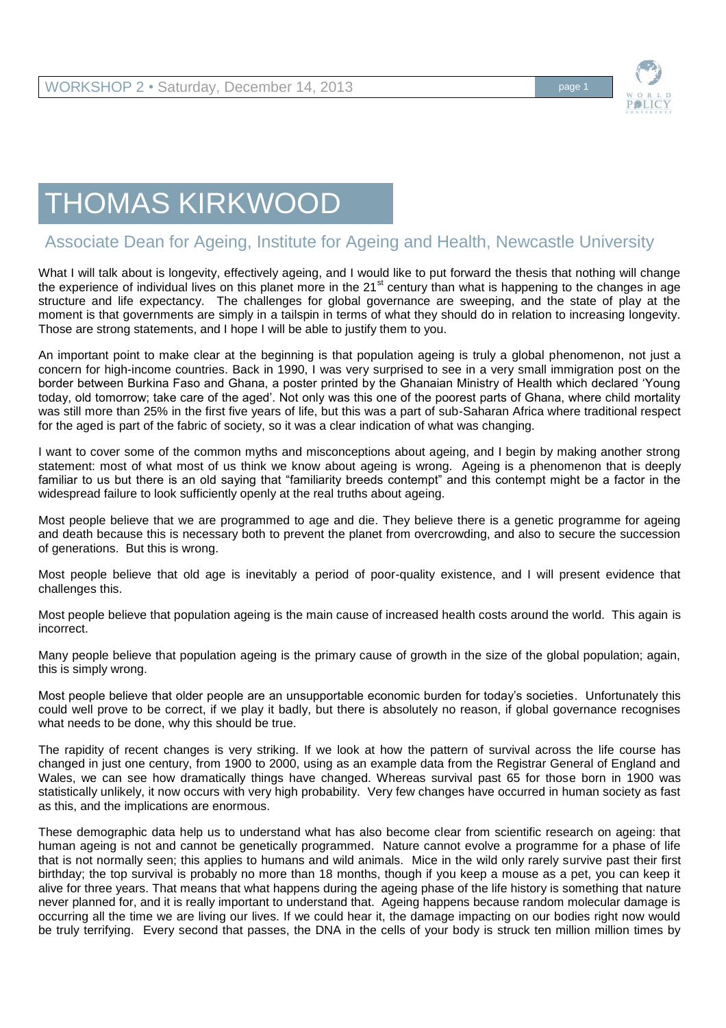

## THOMAS KIRKWOOD

## Associate Dean for Ageing, Institute for Ageing and Health, Newcastle University

What I will talk about is longevity, effectively ageing, and I would like to put forward the thesis that nothing will change the experience of individual lives on this planet more in the 21<sup>st</sup> century than what is happening to the changes in age structure and life expectancy. The challenges for global governance are sweeping, and the state of play at the moment is that governments are simply in a tailspin in terms of what they should do in relation to increasing longevity. Those are strong statements, and I hope I will be able to justify them to you.

An important point to make clear at the beginning is that population ageing is truly a global phenomenon, not just a concern for high-income countries. Back in 1990, I was very surprised to see in a very small immigration post on the border between Burkina Faso and Ghana, a poster printed by the Ghanaian Ministry of Health which declared 'Young today, old tomorrow; take care of the aged'. Not only was this one of the poorest parts of Ghana, where child mortality was still more than 25% in the first five years of life, but this was a part of sub-Saharan Africa where traditional respect for the aged is part of the fabric of society, so it was a clear indication of what was changing.

I want to cover some of the common myths and misconceptions about ageing, and I begin by making another strong statement: most of what most of us think we know about ageing is wrong. Ageing is a phenomenon that is deeply familiar to us but there is an old saying that "familiarity breeds contempt" and this contempt might be a factor in the widespread failure to look sufficiently openly at the real truths about ageing.

Most people believe that we are programmed to age and die. They believe there is a genetic programme for ageing and death because this is necessary both to prevent the planet from overcrowding, and also to secure the succession of generations. But this is wrong.

Most people believe that old age is inevitably a period of poor-quality existence, and I will present evidence that challenges this.

Most people believe that population ageing is the main cause of increased health costs around the world. This again is incorrect.

Many people believe that population ageing is the primary cause of growth in the size of the global population; again, this is simply wrong.

Most people believe that older people are an unsupportable economic burden for today's societies. Unfortunately this could well prove to be correct, if we play it badly, but there is absolutely no reason, if global governance recognises what needs to be done, why this should be true.

The rapidity of recent changes is very striking. If we look at how the pattern of survival across the life course has changed in just one century, from 1900 to 2000, using as an example data from the Registrar General of England and Wales, we can see how dramatically things have changed. Whereas survival past 65 for those born in 1900 was statistically unlikely, it now occurs with very high probability. Very few changes have occurred in human society as fast as this, and the implications are enormous.

These demographic data help us to understand what has also become clear from scientific research on ageing: that human ageing is not and cannot be genetically programmed. Nature cannot evolve a programme for a phase of life that is not normally seen; this applies to humans and wild animals. Mice in the wild only rarely survive past their first birthday; the top survival is probably no more than 18 months, though if you keep a mouse as a pet, you can keep it alive for three years. That means that what happens during the ageing phase of the life history is something that nature never planned for, and it is really important to understand that. Ageing happens because random molecular damage is occurring all the time we are living our lives. If we could hear it, the damage impacting on our bodies right now would be truly terrifying. Every second that passes, the DNA in the cells of your body is struck ten million million times by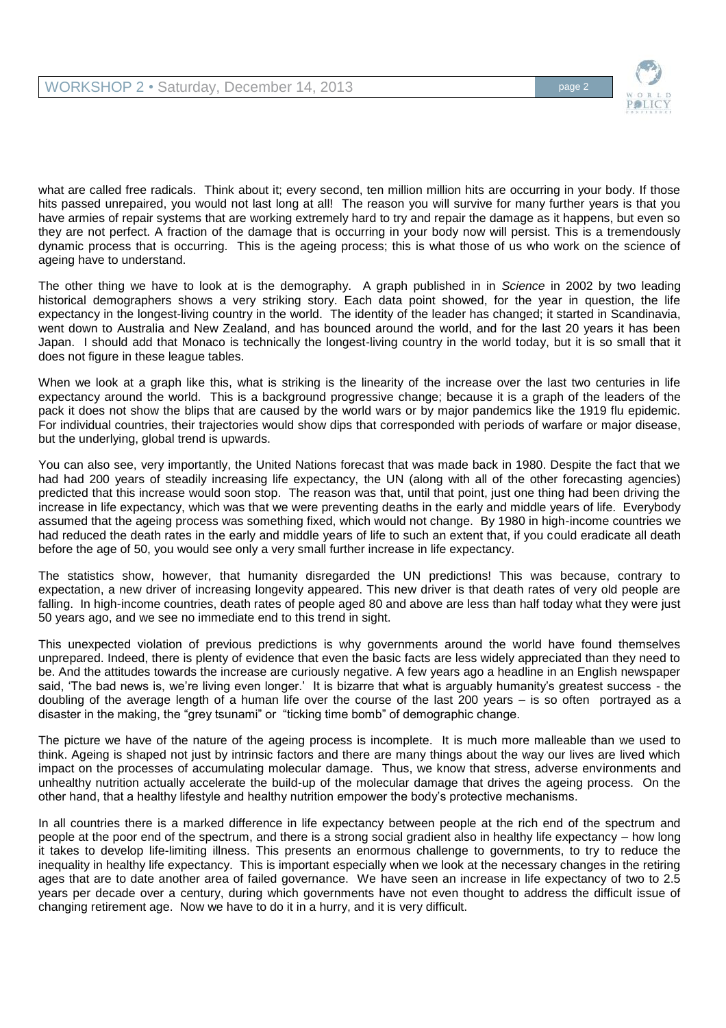

what are called free radicals. Think about it; every second, ten million million hits are occurring in your body. If those hits passed unrepaired, you would not last long at all! The reason you will survive for many further years is that you have armies of repair systems that are working extremely hard to try and repair the damage as it happens, but even so they are not perfect. A fraction of the damage that is occurring in your body now will persist. This is a tremendously dynamic process that is occurring. This is the ageing process; this is what those of us who work on the science of ageing have to understand.

The other thing we have to look at is the demography. A graph published in in *Science* in 2002 by two leading historical demographers shows a very striking story. Each data point showed, for the year in question, the life expectancy in the longest-living country in the world. The identity of the leader has changed; it started in Scandinavia, went down to Australia and New Zealand, and has bounced around the world, and for the last 20 years it has been Japan. I should add that Monaco is technically the longest-living country in the world today, but it is so small that it does not figure in these league tables.

When we look at a graph like this, what is striking is the linearity of the increase over the last two centuries in life expectancy around the world. This is a background progressive change; because it is a graph of the leaders of the pack it does not show the blips that are caused by the world wars or by major pandemics like the 1919 flu epidemic. For individual countries, their trajectories would show dips that corresponded with periods of warfare or major disease, but the underlying, global trend is upwards.

You can also see, very importantly, the United Nations forecast that was made back in 1980. Despite the fact that we had had 200 years of steadily increasing life expectancy, the UN (along with all of the other forecasting agencies) predicted that this increase would soon stop. The reason was that, until that point, just one thing had been driving the increase in life expectancy, which was that we were preventing deaths in the early and middle years of life. Everybody assumed that the ageing process was something fixed, which would not change. By 1980 in high-income countries we had reduced the death rates in the early and middle years of life to such an extent that, if you could eradicate all death before the age of 50, you would see only a very small further increase in life expectancy.

The statistics show, however, that humanity disregarded the UN predictions! This was because, contrary to expectation, a new driver of increasing longevity appeared. This new driver is that death rates of very old people are falling. In high-income countries, death rates of people aged 80 and above are less than half today what they were just 50 years ago, and we see no immediate end to this trend in sight.

This unexpected violation of previous predictions is why governments around the world have found themselves unprepared. Indeed, there is plenty of evidence that even the basic facts are less widely appreciated than they need to be. And the attitudes towards the increase are curiously negative. A few years ago a headline in an English newspaper said, 'The bad news is, we're living even longer.' It is bizarre that what is arguably humanity's greatest success - the doubling of the average length of a human life over the course of the last 200 years – is so often portrayed as a disaster in the making, the "grey tsunami" or "ticking time bomb" of demographic change.

The picture we have of the nature of the ageing process is incomplete. It is much more malleable than we used to think. Ageing is shaped not just by intrinsic factors and there are many things about the way our lives are lived which impact on the processes of accumulating molecular damage. Thus, we know that stress, adverse environments and unhealthy nutrition actually accelerate the build-up of the molecular damage that drives the ageing process. On the other hand, that a healthy lifestyle and healthy nutrition empower the body's protective mechanisms.

In all countries there is a marked difference in life expectancy between people at the rich end of the spectrum and people at the poor end of the spectrum, and there is a strong social gradient also in healthy life expectancy – how long it takes to develop life-limiting illness. This presents an enormous challenge to governments, to try to reduce the inequality in healthy life expectancy. This is important especially when we look at the necessary changes in the retiring ages that are to date another area of failed governance. We have seen an increase in life expectancy of two to 2.5 years per decade over a century, during which governments have not even thought to address the difficult issue of changing retirement age. Now we have to do it in a hurry, and it is very difficult.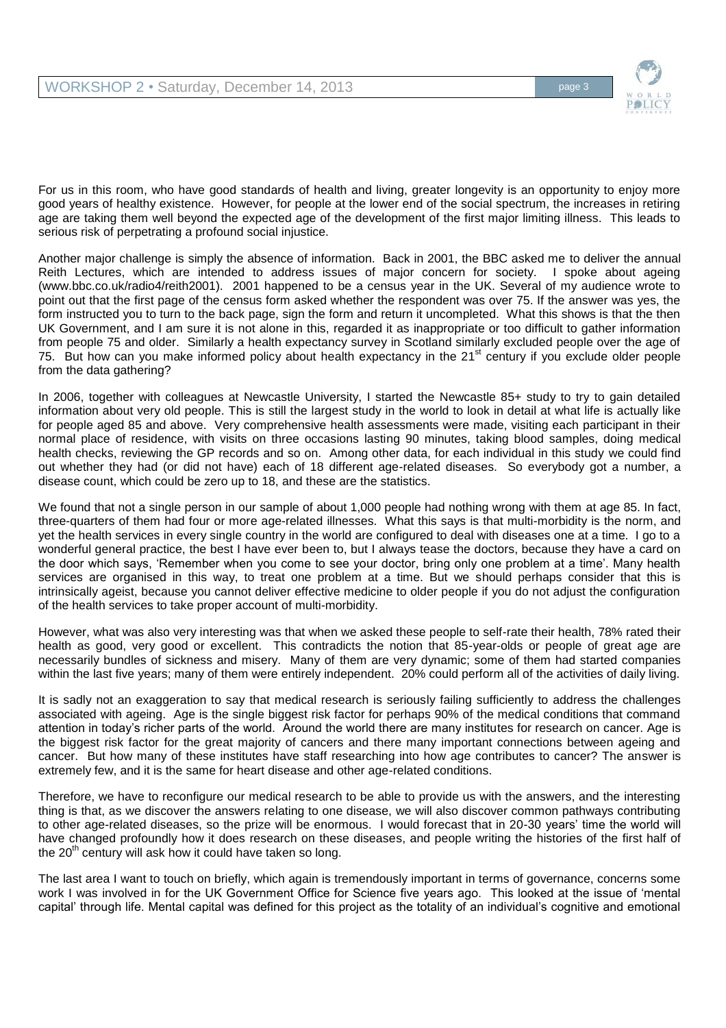

For us in this room, who have good standards of health and living, greater longevity is an opportunity to enjoy more good years of healthy existence. However, for people at the lower end of the social spectrum, the increases in retiring age are taking them well beyond the expected age of the development of the first major limiting illness. This leads to serious risk of perpetrating a profound social injustice.

Another major challenge is simply the absence of information. Back in 2001, the BBC asked me to deliver the annual Reith Lectures, which are intended to address issues of major concern for society. I spoke about ageing (www.bbc.co.uk/radio4/reith2001). 2001 happened to be a census year in the UK. Several of my audience wrote to point out that the first page of the census form asked whether the respondent was over 75. If the answer was yes, the form instructed you to turn to the back page, sign the form and return it uncompleted. What this shows is that the then UK Government, and I am sure it is not alone in this, regarded it as inappropriate or too difficult to gather information from people 75 and older. Similarly a health expectancy survey in Scotland similarly excluded people over the age of 75. But how can you make informed policy about health expectancy in the 21<sup>st</sup> century if you exclude older people from the data gathering?

In 2006, together with colleagues at Newcastle University, I started the Newcastle 85+ study to try to gain detailed information about very old people. This is still the largest study in the world to look in detail at what life is actually like for people aged 85 and above. Very comprehensive health assessments were made, visiting each participant in their normal place of residence, with visits on three occasions lasting 90 minutes, taking blood samples, doing medical health checks, reviewing the GP records and so on. Among other data, for each individual in this study we could find out whether they had (or did not have) each of 18 different age-related diseases. So everybody got a number, a disease count, which could be zero up to 18, and these are the statistics.

We found that not a single person in our sample of about 1,000 people had nothing wrong with them at age 85. In fact, three-quarters of them had four or more age-related illnesses. What this says is that multi-morbidity is the norm, and yet the health services in every single country in the world are configured to deal with diseases one at a time. I go to a wonderful general practice, the best I have ever been to, but I always tease the doctors, because they have a card on the door which says, 'Remember when you come to see your doctor, bring only one problem at a time'. Many health services are organised in this way, to treat one problem at a time. But we should perhaps consider that this is intrinsically ageist, because you cannot deliver effective medicine to older people if you do not adjust the configuration of the health services to take proper account of multi-morbidity.

However, what was also very interesting was that when we asked these people to self-rate their health, 78% rated their health as good, very good or excellent. This contradicts the notion that 85-year-olds or people of great age are necessarily bundles of sickness and misery. Many of them are very dynamic; some of them had started companies within the last five years; many of them were entirely independent. 20% could perform all of the activities of daily living.

It is sadly not an exaggeration to say that medical research is seriously failing sufficiently to address the challenges associated with ageing. Age is the single biggest risk factor for perhaps 90% of the medical conditions that command attention in today's richer parts of the world. Around the world there are many institutes for research on cancer. Age is the biggest risk factor for the great majority of cancers and there many important connections between ageing and cancer. But how many of these institutes have staff researching into how age contributes to cancer? The answer is extremely few, and it is the same for heart disease and other age-related conditions.

Therefore, we have to reconfigure our medical research to be able to provide us with the answers, and the interesting thing is that, as we discover the answers relating to one disease, we will also discover common pathways contributing to other age-related diseases, so the prize will be enormous. I would forecast that in 20-30 years' time the world will have changed profoundly how it does research on these diseases, and people writing the histories of the first half of the  $20<sup>th</sup>$  century will ask how it could have taken so long.

The last area I want to touch on briefly, which again is tremendously important in terms of governance, concerns some work I was involved in for the UK Government Office for Science five years ago. This looked at the issue of 'mental capital' through life. Mental capital was defined for this project as the totality of an individual's cognitive and emotional